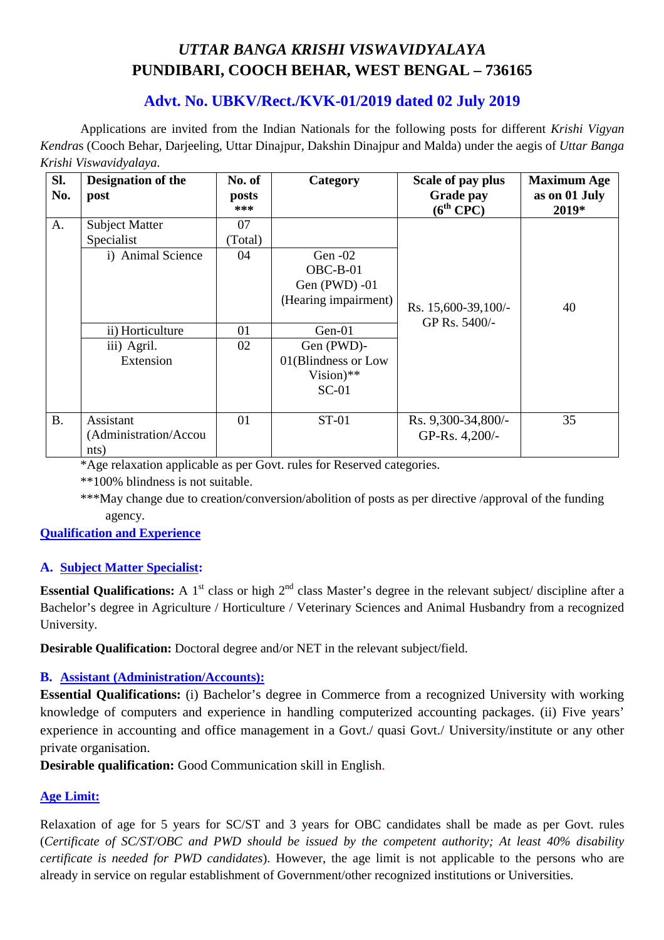# *UTTAR BANGA KRISHI VISWAVIDYALAYA*  **PUNDIBARI, COOCH BEHAR, WEST BENGAL – 736165**

# **Advt. No. UBKV/Rect./KVK-01/2019 dated 02 July 2019**

Applications are invited from the Indian Nationals for the following posts for different *Krishi Vigyan Kendra*s (Cooch Behar, Darjeeling, Uttar Dinajpur, Dakshin Dinajpur and Malda) under the aegis of *Uttar Banga Krishi Viswavidyalaya*.

| SI.<br>No. | <b>Designation of the</b><br>post | No. of<br>posts<br>*** | Category             | Scale of pay plus<br><b>Grade pay</b><br>$(6^{th}$ CPC) | <b>Maximum Age</b><br>as on 01 July<br>2019* |
|------------|-----------------------------------|------------------------|----------------------|---------------------------------------------------------|----------------------------------------------|
| A.         | <b>Subject Matter</b>             | 07                     |                      |                                                         |                                              |
|            | Specialist                        | (Total)                |                      |                                                         |                                              |
|            | i) Animal Science                 | 04                     | Gen $-02$            |                                                         |                                              |
|            |                                   |                        | $OBC-B-01$           |                                                         |                                              |
|            |                                   |                        | Gen $(PWD) -01$      |                                                         |                                              |
|            |                                   |                        | (Hearing impairment) | Rs. 15,600-39,100/-                                     | 40                                           |
|            |                                   |                        |                      | GP Rs. 5400/-                                           |                                              |
|            | ii) Horticulture                  | 01                     | $Gen-01$             |                                                         |                                              |
|            | iii) Agril.                       | 02                     | Gen (PWD)-           |                                                         |                                              |
|            | Extension                         |                        | 01(Blindness or Low  |                                                         |                                              |
|            |                                   |                        | Vision)**            |                                                         |                                              |
|            |                                   |                        | $SC-01$              |                                                         |                                              |
|            |                                   |                        |                      |                                                         |                                              |
| <b>B.</b>  | Assistant                         | 01                     | ST-01                | Rs. 9,300-34,800/-                                      | 35                                           |
|            | (Administration/Accou             |                        |                      | GP-Rs. 4,200/-                                          |                                              |
|            | nts)                              |                        |                      |                                                         |                                              |

\*Age relaxation applicable as per Govt. rules for Reserved categories.

\*\*100% blindness is not suitable.

\*\*\*May change due to creation/conversion/abolition of posts as per directive /approval of the funding agency.

**Qualification and Experience**

## **A. Subject Matter Specialist:**

**Essential Qualifications:** A 1<sup>st</sup> class or high 2<sup>nd</sup> class Master's degree in the relevant subject/ discipline after a Bachelor's degree in Agriculture / Horticulture / Veterinary Sciences and Animal Husbandry from a recognized University.

**Desirable Qualification:** Doctoral degree and/or NET in the relevant subject/field.

## **B. Assistant (Administration/Accounts):**

**Essential Qualifications:** (i) Bachelor's degree in Commerce from a recognized University with working knowledge of computers and experience in handling computerized accounting packages. (ii) Five years' experience in accounting and office management in a Govt./ quasi Govt./ University/institute or any other private organisation.

**Desirable qualification:** Good Communication skill in English.

#### **Age Limit:**

Relaxation of age for 5 years for SC/ST and 3 years for OBC candidates shall be made as per Govt. rules (*Certificate of SC/ST/OBC and PWD should be issued by the competent authority; At least 40% disability certificate is needed for PWD candidates*). However, the age limit is not applicable to the persons who are already in service on regular establishment of Government/other recognized institutions or Universities.